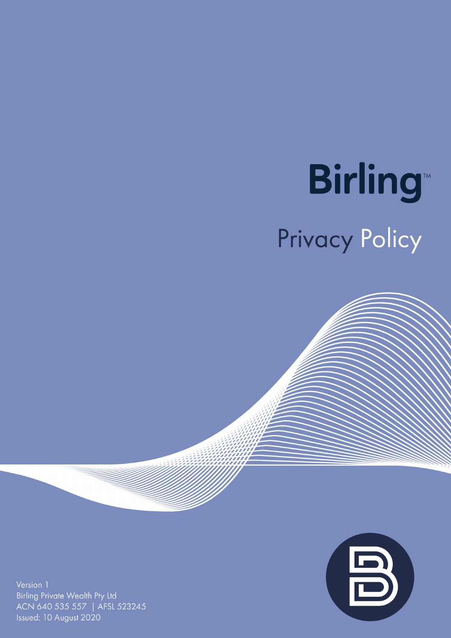# **Birling** Privacy Policy



Version 1 Birling Private Wealth Pty Ltd ACN 640 535 557 | AFSL 523245 Issued: 10 August 2020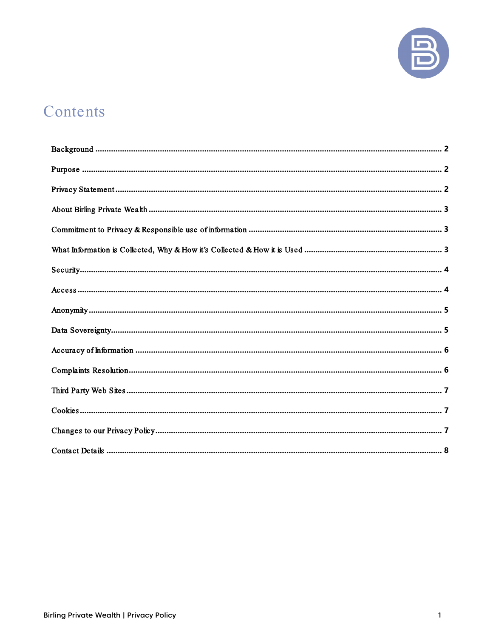

# Contents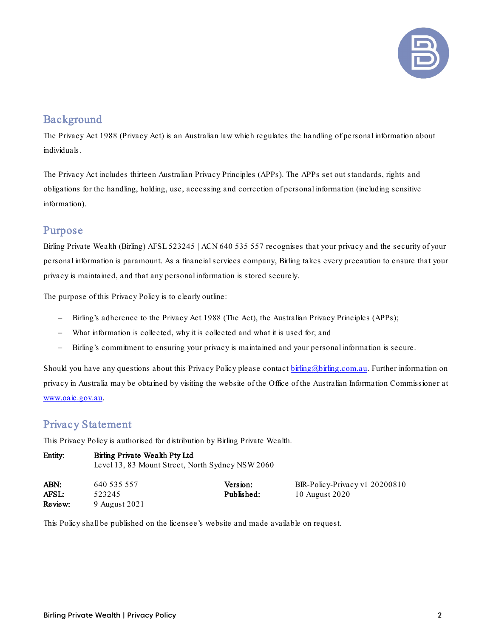

# <span id="page-2-0"></span>Background

The [Privacy Act 1988](http://www.comlaw.gov.au/Series/C2004A03712) (Privacy Act) is an Australian law which regulates the handling of personal information about individuals.

The Privacy Act includes thirteen Australian Privacy Principles (APPs). The APPs set out standards, rights and obligations for the handling, holding, use, accessing and correction of personal information (including sensitive information).

## <span id="page-2-1"></span>Purpose

Birling Private Wealth (Birling) AFSL 523245 | ACN 640 535 557 recognises that your privacy and the security of your personal information is paramount. As a financial services company, Birling takes every precaution to ensure that your privacy is maintained, and that any personal information is stored securely.

The purpose of this Privacy Policy is to clearly outline:

- − Birling's adherence to the Privacy Act 1988 (The Act), the Australian Privacy Principles (APPs);
- What information is collected, why it is collected and what it is used for; and
- − Birling's commitment to ensuring your privacy is maintained and your personal information is secure.

Should you have any questions about this Privacy Policy please contact [birling@birling.com.au.](mailto:birling@birling.com.au) Further information on privacy in Australia may be obtained by visiting the website of the Office of the Australian Information Commissioner at [www.oaic.gov.au.](http://www.oaic.gov.au/)

#### <span id="page-2-2"></span>Privacy Statement

This Privacy Policy is authorised for distribution by Birling Private Wealth.

| Entity:      | Birling Private Wealth Pty Ltd<br>Level 13, 83 Mount Street, North Sydney NSW 2060 |            |                                |  |
|--------------|------------------------------------------------------------------------------------|------------|--------------------------------|--|
| ABN:         | 640 535 557                                                                        | Version:   | BIR-Policy-Privacy v1 20200810 |  |
| <b>AFSL:</b> | 523245                                                                             | Published: | 10 August 2020                 |  |
| Review:      | 9 August 2021                                                                      |            |                                |  |

This Policy shall be published on the licensee's website and made available on request.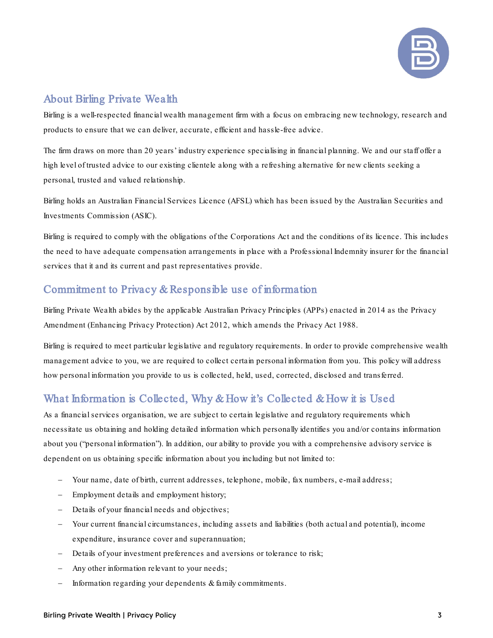

# <span id="page-3-0"></span>About Birling Private Wealth

Birling is a well-respected financial wealth management firm with a focus on embracing new technology, research and products to ensure that we can deliver, accurate, efficient and hassle-free advice.

The firm draws on more than 20 years' industry experience specialising in financial planning. We and our staff offer a high level of trusted advice to our existing clientele along with a refreshing alternative for new clients seeking a personal, trusted and valued relationship.

Birling holds an Australian Financial Services Licence (AFSL) which has been issued by the Australian Securities and Investments Commission (ASIC).

Birling is required to comply with the obligations of the Corporations Act and the conditions of its licence. This includes the need to have adequate compensation arrangements in place with a Professional Indemnity insurer for the financial services that it and its current and past representatives provide.

# <span id="page-3-1"></span>Commitment to Privacy & Responsible use of information

Birling Private Wealth abides by the applicable Australian Privacy Principles (APPs) enacted in 2014 as the Privacy Amendment (Enhancing Privacy Protection) Act 2012, which amends the Privacy Act 1988.

Birling is required to meet particular legislative and regulatory requirements. In order to provide comprehensive wealth management advice to you, we are required to collect certain personal information from you. This policy will address how personal information you provide to us is collected, held, used, corrected, disclosed and transferred.

# <span id="page-3-2"></span>What Information is Collected, Why & How it's Collected & How it is Used

As a financial services organisation, we are subject to certain legislative and regulatory requirements which necessitate us obtaining and holding detailed information which personally identifies you and/or contains information about you ("personal information"). In addition, our ability to provide you with a comprehensive advisory service is dependent on us obtaining specific information about you including but not limited to:

- Your name, date of birth, current addresses, telephone, mobile, fax numbers, e-mail address;
- Employment details and employment history;
- Details of your financial needs and objectives;
- Your current financial circumstances, including assets and liabilities (both actual and potential), income expenditure, insurance cover and superannuation;
- Details of your investment preferences and aversions or tolerance to risk;
- Any other information relevant to your needs;
- Information regarding your dependents & family commitments.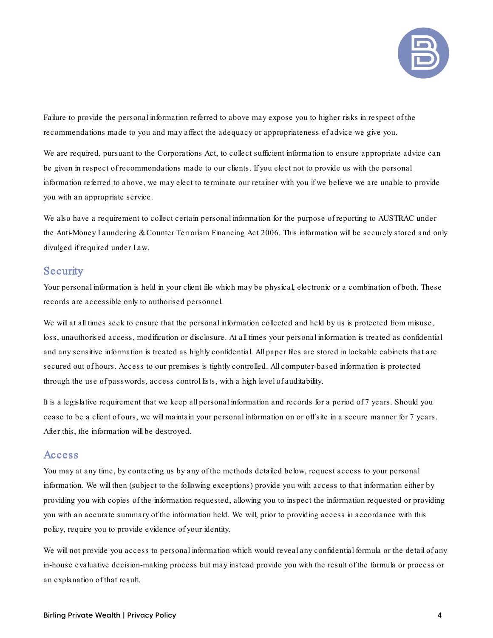

Failure to provide the personal information referred to above may expose you to higher risks in respect of the recommendations made to you and may affect the adequacy or appropriateness of advice we give you.

We are required, pursuant to the Corporations Act, to collect sufficient information to ensure appropriate advice can be given in respect of recommendations made to our clients. If you elect not to provide us with the personal information referred to above, we may elect to terminate our retainer with you if we believe we are unable to provide you with an appropriate service.

We also have a requirement to collect certain personal information for the purpose of reporting to AUSTRAC under the Anti-Money Laundering & Counter Terrorism Financing Act 2006. This information will be securely stored and only divulged if required under Law.

#### <span id="page-4-0"></span>**Security**

Your personal information is held in your client file which may be physical, electronic or a combination of both. These records are accessible only to authorised personnel.

We will at all times seek to ensure that the personal information collected and held by us is protected from misuse, loss, unauthorised access, modification or disclosure. At all times your personal information is treated as confidential and any sensitive information is treated as highly confidential. All paper files are stored in lockable cabinets that are secured out of hours. Access to our premises is tightly controlled. All computer-based information is protected through the use of passwords, access control lists, with a high level of auditability.

It is a legislative requirement that we keep all personal information and records for a period of 7 years. Should you cease to be a client of ours, we will maintain your personal information on or off site in a secure manner for 7 years. After this, the information will be destroyed.

#### <span id="page-4-1"></span>Access

You may at any time, by contacting us by any of the methods detailed below, request access to your personal information. We will then (subject to the following exceptions) provide you with access to that information either by providing you with copies of the information requested, allowing you to inspect the information requested or providing you with an accurate summary of the information held. We will, prior to providing access in accordance with this policy, require you to provide evidence of your identity.

We will not provide you access to personal information which would reveal any confidential formula or the detail of any in-house evaluative decision-making process but may instead provide you with the result of the formula or process or an explanation of that result.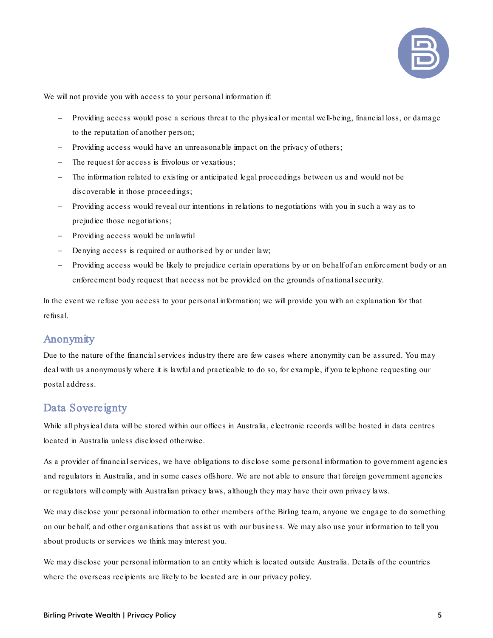

We will not provide you with access to your personal information if:

- Providing access would pose a serious threat to the physical or mental well-being, financial loss, or damage to the reputation of another person;
- Providing access would have an unreasonable impact on the privacy of others;
- The request for access is frivolous or vexatious;
- The information related to existing or anticipated legal proceedings between us and would not be discoverable in those proceedings;
- Providing access would reveal our intentions in relations to negotiations with you in such a way as to prejudice those negotiations;
- Providing access would be unlawful
- Denying access is required or authorised by or under law;
- Providing access would be likely to prejudice certain operations by or on behalf of an enforcement body or an enforcement body request that access not be provided on the grounds of national security.

In the event we refuse you access to your personal information; we will provide you with an explanation for that refusal.

#### <span id="page-5-0"></span>Anonymity

Due to the nature of the financial services industry there are few cases where anonymity can be assured. You may deal with us anonymously where it is lawful and practicable to do so, for example, if you telephone requesting our postal address.

#### <span id="page-5-1"></span>Data Sovereignty

While all physical data will be stored within our offices in Australia, electronic records will be hosted in data centres located in Australia unless disclosed otherwise.

As a provider of financial services, we have obligations to disclose some personal information to government agencies and regulators in Australia, and in some cases offshore. We are not able to ensure that foreign government agencies or regulators will comply with Australian privacy laws, although they may have their own privacy laws.

We may disclose your personal information to other members of the Birling team, anyone we engage to do something on our behalf, and other organisations that assist us with our business. We may also use your information to tell you about products or services we think may interest you.

We may disclose your personal information to an entity which is located outside Australia. Details of the countries where the overseas recipients are likely to be located are in our privacy policy.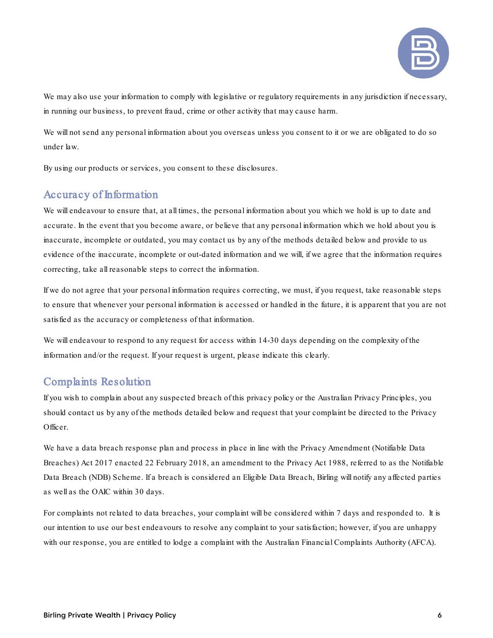

We may also use your information to comply with legislative or regulatory requirements in any jurisdiction if necessary, in running our business, to prevent fraud, crime or other activity that may cause harm.

We will not send any personal information about you overseas unless you consent to it or we are obligated to do so under law.

By using our products or services, you consent to these disclosures.

#### <span id="page-6-0"></span>Accuracy of Information

We will endeavour to ensure that, at all times, the personal information about you which we hold is up to date and accurate. In the event that you become aware, or believe that any personal information which we hold about you is inaccurate, incomplete or outdated, you may contact us by any of the methods detailed below and provide to us evidence of the inaccurate, incomplete or out-dated information and we will, if we agree that the information requires correcting, take all reasonable steps to correct the information.

If we do not agree that your personal information requires correcting, we must, if you request, take reasonable steps to ensure that whenever your personal information is accessed or handled in the future, it is apparent that you are not satisfied as the accuracy or completeness of that information.

We will endeavour to respond to any request for access within 14-30 days depending on the complexity of the information and/or the request. If your request is urgent, please indicate this clearly.

#### <span id="page-6-1"></span>Complaints Resolution

If you wish to complain about any suspected breach of this privacy policy or the Australian Privacy Principles, you should contact us by any of the methods detailed below and request that your complaint be directed to the Privacy Officer.

We have a data breach response plan and process in place in line with the Privacy Amendment (Notifiable Data Breaches) Act 2017 enacted 22 February 2018, an amendment to the Privacy Act 1988, referred to as the Notifiable Data Breach (NDB) Scheme. If a breach is considered an Eligible Data Breach, Birling will notify any affected parties as well as the OAIC within 30 days.

For complaints not related to data breaches, your complaint will be considered within 7 days and responded to. It is our intention to use our best endeavours to resolve any complaint to your satisfaction; however, if you are unhappy with our response, you are entitled to lodge a complaint with the Australian Financial Complaints Authority (AFCA).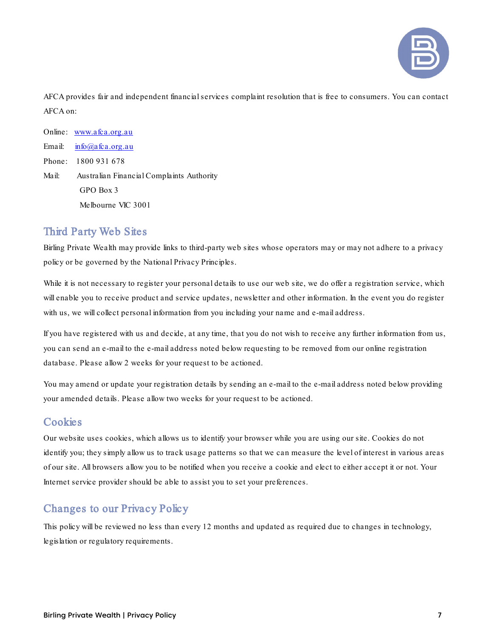

AFCA provides fair and independent financial services complaint resolution that is free to consumers. You can contact AFCA on:

Online: [www.afca.org.au](http://www.afca.org.au/) Email:  $in \overline{6}$  (*a*) a fc a .org.au Phone: 1800 931 678 Mail: Australian Financial Complaints Authority GPO Box 3 Melbourne VIC 3001

## <span id="page-7-0"></span>Third Party Web Sites

Birling Private Wealth may provide links to third-party web sites whose operators may or may not adhere to a privacy policy or be governed by the National Privacy Principles.

While it is not necessary to register your personal details to use our web site, we do offer a registration service, which will enable you to receive product and service updates, newsletter and other information. In the event you do register with us, we will collect personal information from you including your name and e-mail address.

If you have registered with us and decide, at any time, that you do not wish to receive any further information from us, you can send an e-mail to the e-mail address noted below requesting to be removed from our online registration database. Please allow 2 weeks for your request to be actioned.

You may amend or update your registration details by sending an e-mail to the e-mail address noted below providing your amended details. Please allow two weeks for your request to be actioned.

# <span id="page-7-1"></span>**Cookies**

Our website uses cookies, which allows us to identify your browser while you are using our site. Cookies do not identify you; they simply allow us to track usage patterns so that we can measure the level of interest in various areas of our site. All browsers allow you to be notified when you receive a cookie and elect to either accept it or not. Your Internet service provider should be able to assist you to set your preferences.

# <span id="page-7-2"></span>Changes to our Privacy Policy

This policy will be reviewed no less than every 12 months and updated as required due to changes in technology, legislation or regulatory requirements.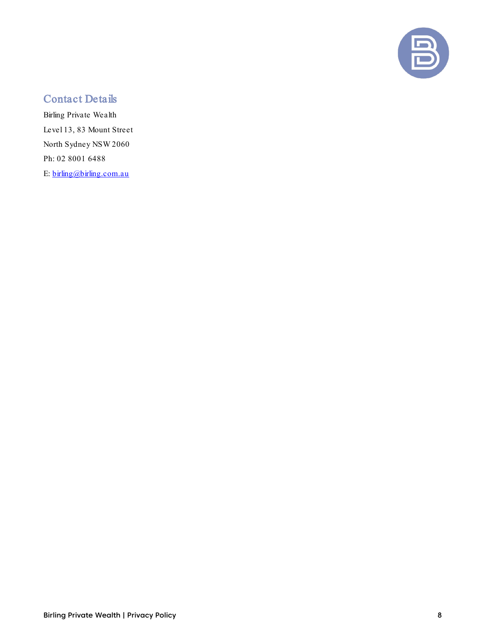

# <span id="page-8-0"></span>Contact Details

Birling Private Wealth Level 13, 83 Mount Street North Sydney NSW 2060 Ph: 02 8001 6488 E:  $\frac{\text{birling}}{\text{dbirling.com.au}}$